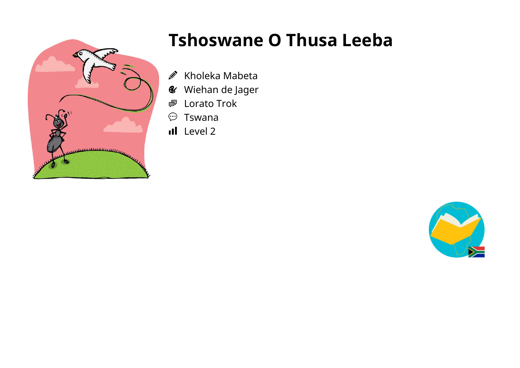

## **Tshoswane O Thusa Leeba**

- Kholeka Mabeta  $\bigotimes$
- Wiehan de Jager
- Lorato Trok ●
- $\odot$ Tswana
- Il Level 2

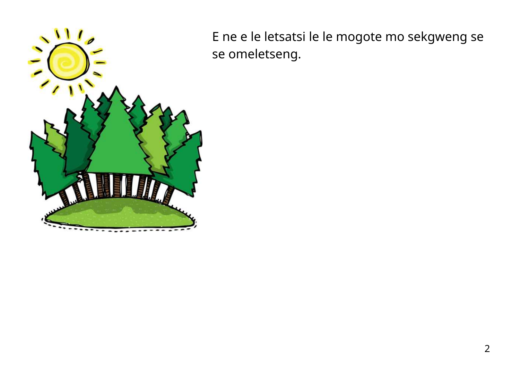

E ne e le letsatsi le le mogote mo sekgweng se se omeletseng.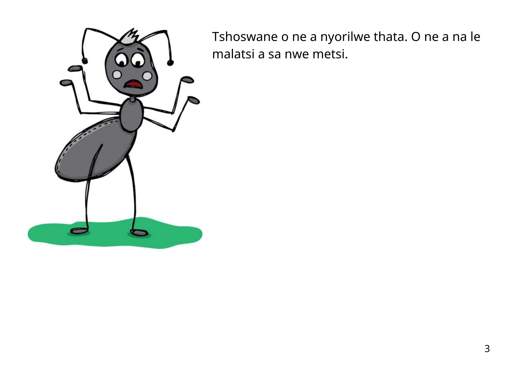

Tshoswane o ne a nyorilwe thata. O ne a na le malatsi a sa nwe metsi.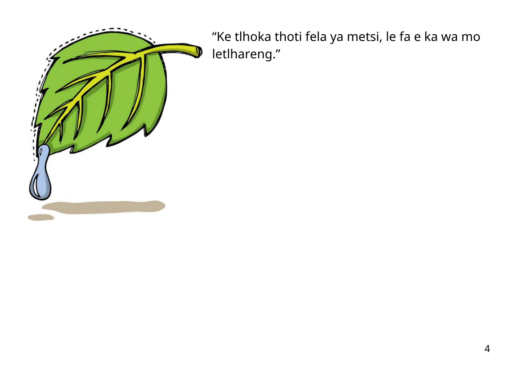

"Ke tlhoka thoti fela ya metsi, le fa e ka wa mo letlhareng."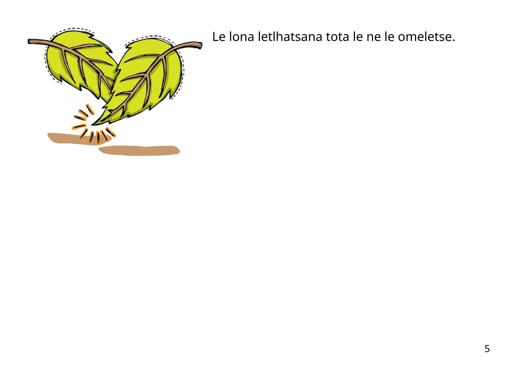

Le lona letlhatsana tota le ne le omeletse.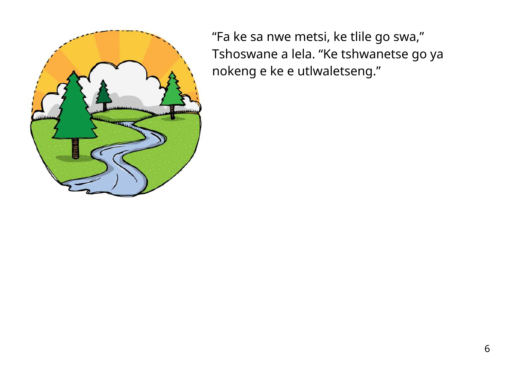

"Fa ke sa nwe metsi, ke tlile go swa, " Tshoswane a lela. "Ke tshwanetse go ya nokeng e ke e utlwaletseng."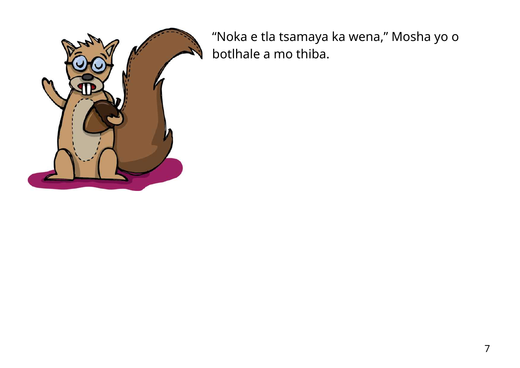

"Noka e tla tsamaya ka wena, " Mosha yo o botlhale a mo thiba.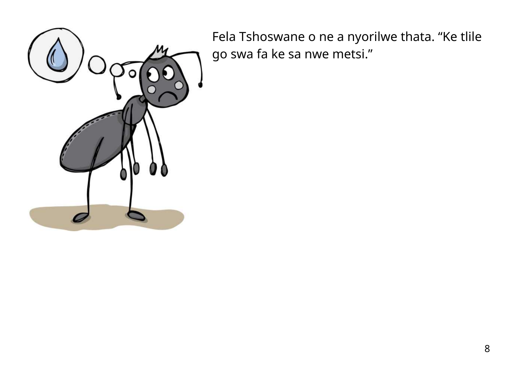

Fela Tshoswane o ne a nyorilwe thata. "Ke tlile go swa fa ke sa nwe metsi."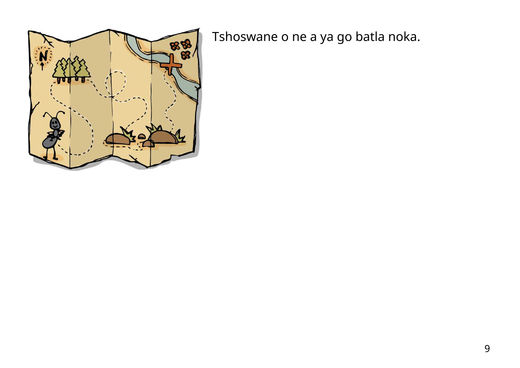

Tshoswane o ne a ya go batla noka.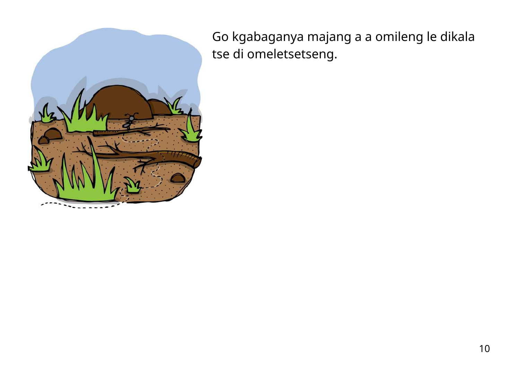

Go kgabaganya majang a a omileng le dikala tse di omeletsetseng.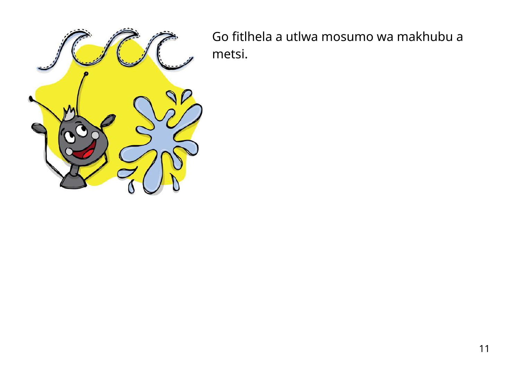

Go fitlhela a utlwa mosumo wa makhubu a metsi.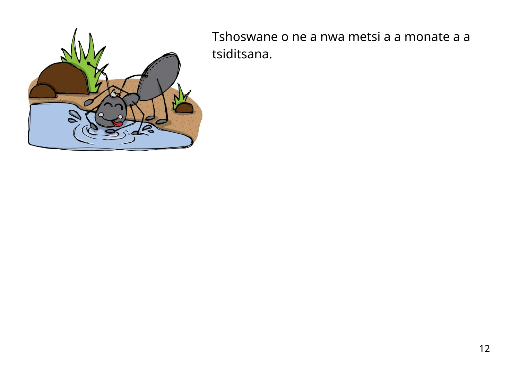

Tshoswane o ne a nwa metsi a a monate a a tsiditsana.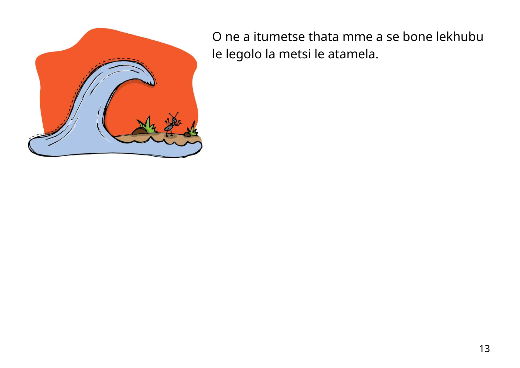

O ne a itumetse thata mme a se bone lekhubu le legolo la metsi le atamela.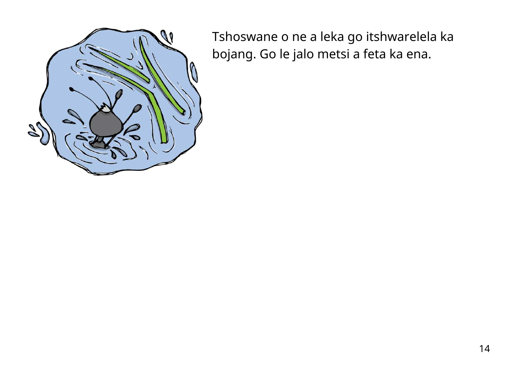

Tshoswane o ne a leka go itshwarelela ka bojang. Go le jalo metsi a feta ka ena.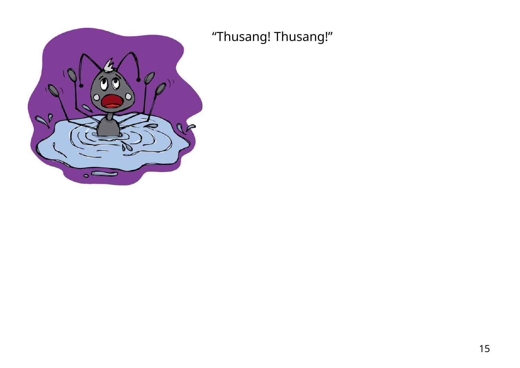

"Thusang! Thusang!"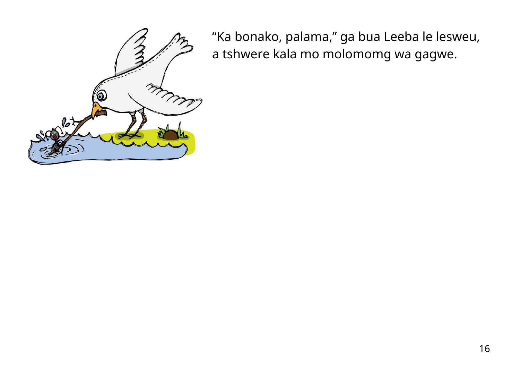

"Ka bonako, palama, " ga bua Leeba le lesweu, a tshwere kala mo molomomg wa gagwe.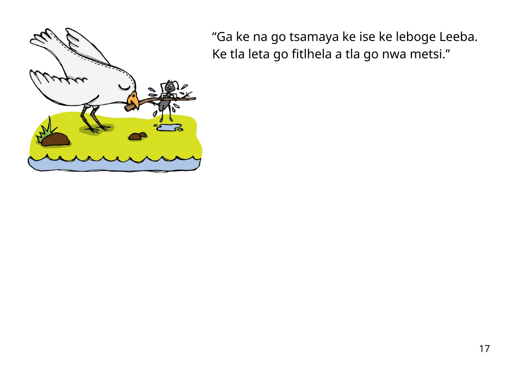

"Ga ke na go tsamaya ke ise ke leboge Leeba. Ke tla leta go fitlhela a tla go nwa metsi."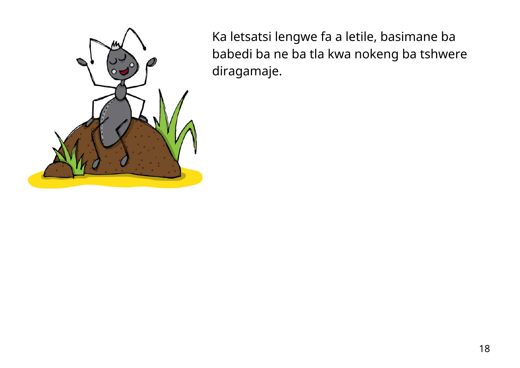

Ka letsatsi lengwe fa a letile, basimane ba babedi ba ne ba tla kwa nokeng ba tshwere diragamaje.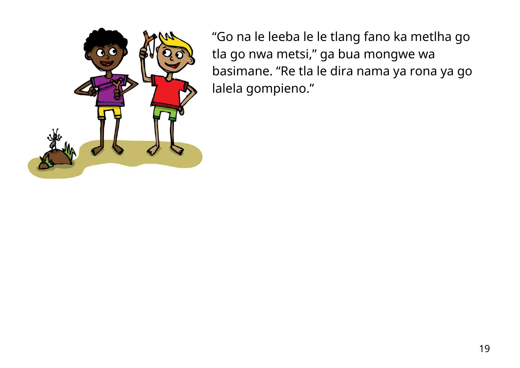

"Go na le leeba le le tlang fano ka metlha go tla go nwa metsi, " ga bua mongwe wa basimane. "Re tla le dira nama ya rona ya go lalela gompieno."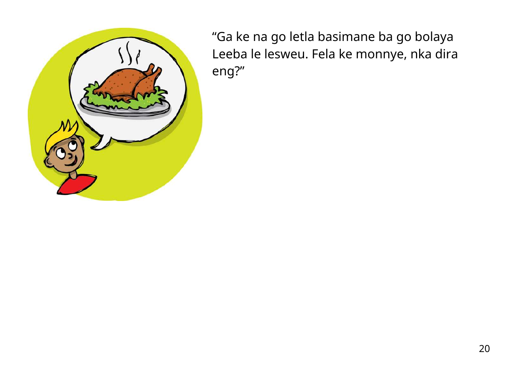

"Ga ke na go letla basimane ba go bolaya Leeba le lesweu. Fela ke monnye, nka dira eng?"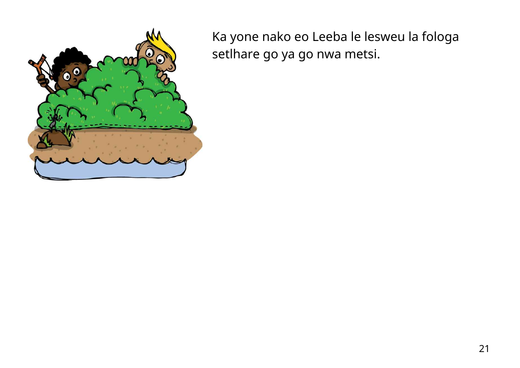

Ka yone nako eo Leeba le lesweu la fologa setlhare go ya go nwa metsi.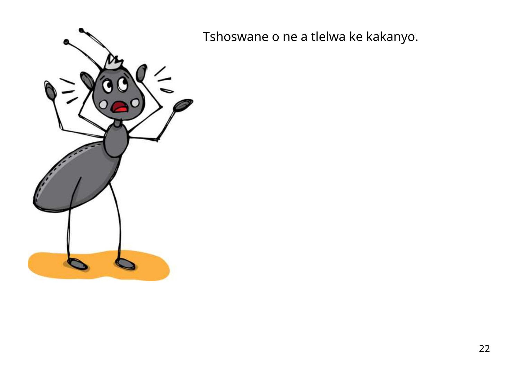

Tshoswane o ne a tlelwa ke kakanyo.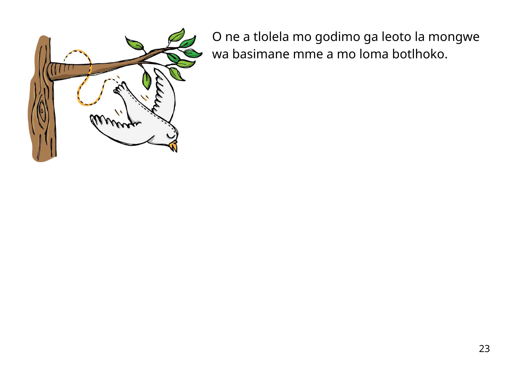

O ne a tlolela mo godimo ga leoto la mongwe wa basimane mme a mo loma botlhoko.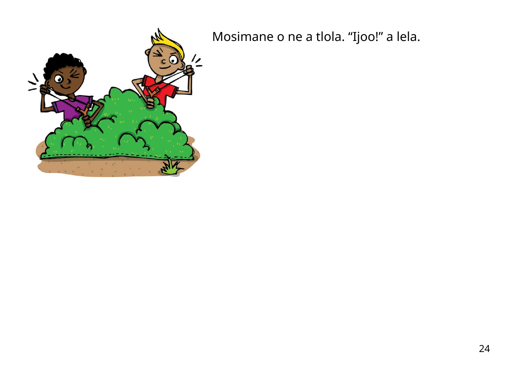

Mosimane o ne a tlola. "Ijoo!" a lela.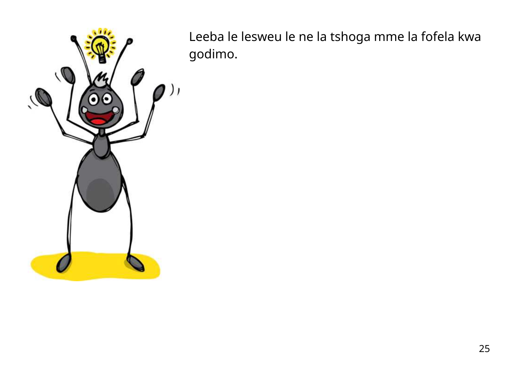

Leeba le lesweu le ne la tshoga mme la fofela kwa godimo.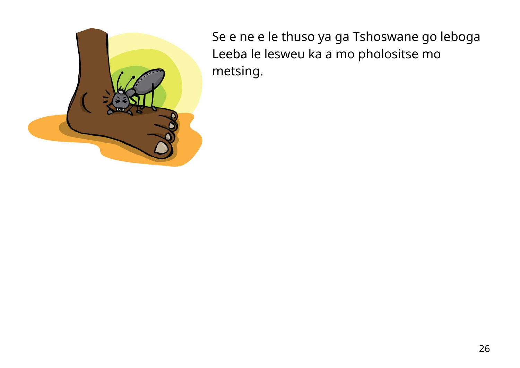

Se e ne e le thuso ya ga Tshoswane go leboga Leeba le lesweu ka a mo pholositse mo metsing.